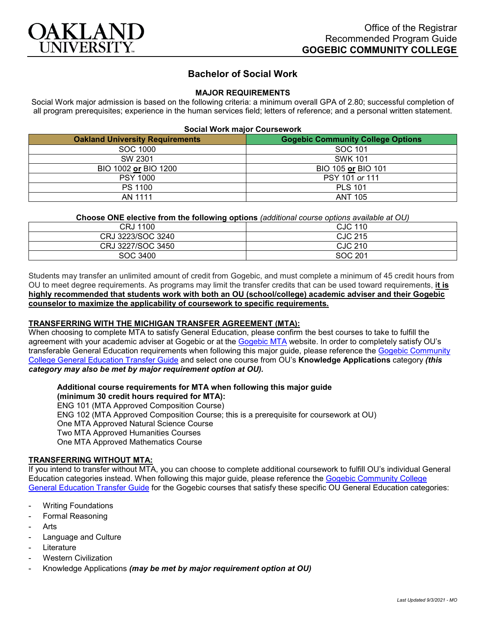

# **Bachelor of Social Work**

### **MAJOR REQUIREMENTS**

Social Work major admission is based on the following criteria: a minimum overall GPA of 2.80; successful completion of all program prerequisites; experience in the human services field; letters of reference; and a personal written statement.

### **Social Work major Coursework**

| <b>Oakland University Requirements</b> | <b>Gogebic Community College Options</b> |
|----------------------------------------|------------------------------------------|
| SOC 1000                               | SOC 101                                  |
| SW 2301                                | <b>SWK 101</b>                           |
| BIO 1002 or BIO 1200                   | BIO 105 or BIO 101                       |
| <b>PSY 1000</b>                        | PSY 101 or 111                           |
| PS 1100                                | <b>PLS 101</b>                           |
| AN 1111                                | <b>ANT 105</b>                           |

### **Choose ONE elective from the following options** *(additional course options available at OU)*

| . .               |         |
|-------------------|---------|
| CRJ 1100          | CJC 110 |
| CRJ 3223/SOC 3240 | CJC 215 |
| CRJ 3227/SOC 3450 | CJC 210 |
| SOC 3400          | SOC 201 |

Students may transfer an unlimited amount of credit from Gogebic, and must complete a minimum of 45 credit hours from OU to meet degree requirements. As programs may limit the transfer credits that can be used toward requirements, **it is highly recommended that students work with both an OU (school/college) academic adviser and their Gogebic counselor to maximize the applicability of coursework to specific requirements.**

## **TRANSFERRING WITH THE MICHIGAN TRANSFER AGREEMENT (MTA):**

When choosing to complete MTA to satisfy General Education, please confirm the best courses to take to fulfill the agreement with your academic adviser at Gogebic or at the [Gogebic MTA](https://www.gogebic.edu/welcome/studentsupport/_assets/gogebic-courses-that-fulfill-the-mta-requirements.pdf) website. In order to completely satisfy OU's transferable General Education requirements when following this major guide, please reference the [Gogebic Community](https://www.oakland.edu/Assets/Oakland/program-guides/gogebic-community-college/university-general-education-requirements/Gogebic%20Gen%20Ed.pdf)  [College General Education Transfer Guide](https://www.oakland.edu/Assets/Oakland/program-guides/gogebic-community-college/university-general-education-requirements/Gogebic%20Gen%20Ed.pdf) and select one course from OU's **Knowledge Applications** category *(this category may also be met by major requirement option at OU).*

## **Additional course requirements for MTA when following this major guide (minimum 30 credit hours required for MTA):**

ENG 101 (MTA Approved Composition Course) ENG 102 (MTA Approved Composition Course; this is a prerequisite for coursework at OU) One MTA Approved Natural Science Course Two MTA Approved Humanities Courses One MTA Approved Mathematics Course

### **TRANSFERRING WITHOUT MTA:**

If you intend to transfer without MTA, you can choose to complete additional coursework to fulfill OU's individual General Education categories instead. When following this major guide, please reference the [Gogebic Community College](https://www.oakland.edu/Assets/Oakland/program-guides/gogebic-community-college/university-general-education-requirements/Gogebic%20Gen%20Ed.pdf)  [General Education Transfer Guide](https://www.oakland.edu/Assets/Oakland/program-guides/gogebic-community-college/university-general-education-requirements/Gogebic%20Gen%20Ed.pdf) for the Gogebic courses that satisfy these specific OU General Education categories:

- **Writing Foundations**
- Formal Reasoning
- **Arts**
- Language and Culture
- **Literature**
- **Western Civilization**
- Knowledge Applications *(may be met by major requirement option at OU)*